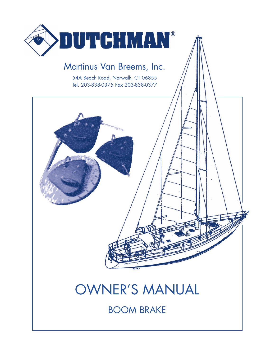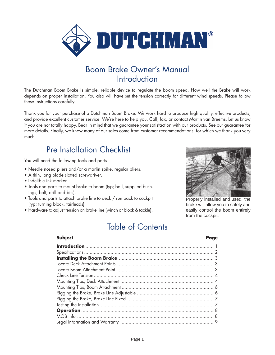

### Boom Brake Owner's Manual Introduction

The Dutchman Boom Brake is simple, reliable device to regulate the boom speed. How well the Brake will work depends on proper installation. You also will have set the tension correctly for different wind speeds. Please follow these instructions carefully.

Thank you for your purchase of a Dutchman Boom Brake. We work hard to produce high quality, effective products, and provide excellent customer service. We're here to help you. Call, fax, or contact Martin van Breems. Let us know if you are not totally happy. Bear in mind that we guarantee your satisfaction with our products. See our guarantee for more details. Finally, we know many of our sales come from customer recommendations, for which we thank you very much.

### Pre Installation Checklist

You will need the following tools and parts.

- Needle nosed pliers and/or a marlin spike, regular pliers.
- A thin, long blade slotted screwdriver.
- Indelible ink marker.
- Tools and parts to mount brake to boom (typ; bail, supplied bushings, bolt, drill and bits).
- Tools and parts to attach brake line to deck / run back to cockpit (typ; turning block, fairleads).
- Hardware to adjust tension on brake line (winch or block & tackle).



Properly installed and used, the brake will allow you to safely and easily control the boom entirely from the cockpit.

## Table of Contents

| <b>Subject</b> | Page |
|----------------|------|
|                |      |
|                |      |
|                |      |
|                |      |
|                |      |
|                |      |
|                |      |
|                |      |
|                |      |
|                |      |
|                |      |
|                |      |
|                |      |
|                |      |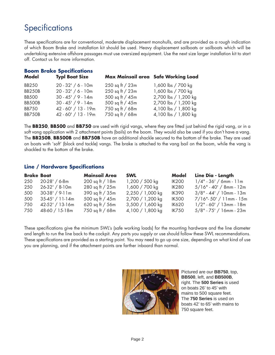## **Specifications**

These specifications are for conventional, moderate displacement monohulls, and are provided as a rough indication of which Boom Brake and installation kit should be used. Heavy displacement sailboats or sailboats which will be undertaking extensive offshore passages must use oversized equipment. Use the next size larger installation kit to start off. Contact us for more information.

#### **Boom Brake Specifications**

| Model         | <b>Typl Boat Size</b> |                     | Max Mainsail area Safe Working Load |
|---------------|-----------------------|---------------------|-------------------------------------|
| <b>BB250</b>  | $20 - 32' / 6 - 10m$  | $250$ sq ft / $23m$ | 1,600 lbs / 700 kg                  |
| <b>BB250B</b> | $20 - 32' / 6 - 10m$  | 250 sq ft / 23m     | 1,600 lbs / 700 kg                  |
| <b>BB500</b>  | $30 - 45' / 9 - 14m$  | 500 sq ft / 45m     | 2,700 lbs / 1,200 kg                |
| BB500B        | $30 - 45' / 9 - 14m$  | 500 sq ft / 45m     | 2,700 lbs / 1,200 kg                |
| <b>BB750</b>  | 42 - 60' / 13 - 19m   | 750 sq ft / 68m     | 4,100 lbs / 1,800 kg                |
| <b>BB750B</b> | 42 - 60' / 13 - 19m   | 750 sq ft / 68m     | 4,100 lbs / 1,800 kg                |
|               |                       |                     |                                     |

The **BB250**, **BB500** and **BB750** are used with rigid vangs, where they are fitted just behind the rigid vang, or in a soft vang application with 2 attachment points (bails) on the boom. They would also be used if you don't have a vang. The **BB250B**, **BB500B** and **BB750B** have an additional shackle secured to the bottom of the brake. They are used on boats with 'soft' (block and tackle) vangs. The brake is attached to the vang bail on the boom, while the vang is shackled to the bottom of the brake.

#### **Line / Hardware Specifications**

| <b>Brake Boat</b> |                   | <b>Mainsail Area</b> | <b>SWL</b>         | <b>Model</b> | Line Dia - Length          |
|-------------------|-------------------|----------------------|--------------------|--------------|----------------------------|
| 250               | 20-28' / 6-8m     | $200$ sq ft / 18m    | 1,200 / 500 kg     | <b>IK200</b> | $1/4" - 36' / 6mm - 11m$   |
| 250               | $26-32' / 8-10m$  | 280 sq ft / 25m      | 1,600 / 700 kg     | <b>IK280</b> | $5/16" - 40' / 8mm - 12m$  |
| 500               | $30-38' / 9-11m$  | 390 sq $ft / 35m$    | 2,250 / 1,000 kg   | <b>IK390</b> | $3/8"$ - 44' / 10mm - 13m  |
| 500               | $35-45' / 11-14m$ | 500 sq ft / 45m      | 2,700 / 1,200 kg   | <b>IK500</b> | 7/16"-50' / 11mm - 15m     |
| 750               | $42-52' / 13-16m$ | 620 sq ft / 56m      | $3,500 / 1,600$ kg | <b>IK620</b> | 1/2" - 60' / 13mm - 18m    |
| 750               | 48-60 / 15-18m    | 750 sq ft / 68m      | 4,100 / 1,800 kg   | <b>IK750</b> | $5/8" - 75' / 16$ mm - 23m |

These specifications give the minimum SWL's (safe working loads) for the mounting hardware and the line diameter and length to run the line back to the cockpit. Any parts you supply or use should follow these SWL recommendations. These specifications are provided as a starting point. You may need to go up one size, depending on what kind of use you are planning, and if the attachment points are farther inboard than normal.



Pictured are our **BB750**, top, **BB500**, left, and **BB500B**, right. The **500 Series** is used on boats 26' to 45' with mains to 500 square feet. The **750 Series** is used on boats 42' to 65' with mains to 750 square feet.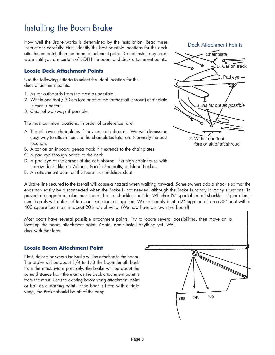### Installing the Boom Brake

How well the Brake works is determined by the installation. Read these instructions carefully. First, identify the best possible locations for the deck attachment point, then the boom attachment point. Do not install any hardware until you are certain of BOTH the boom and deck attachment points.

#### **Locate Deck Attachment Points**

Use the following criteria to select the ideal location for the deck attachment points.

- 1. As far outboards from the mast as possible.
- 2. Within one foot / 30 cm fore or aft of the farthest aft (shroud) chainplate (closer is better).
- 3. Clear of walkways if possible.

The most common locations, in order of preference, are:

- A. The aft lower chainplates if they are set inboards. We will discuss an easy way to attach items to the chainplates later on. Normally the best location.
- B. A car on an inboard genoa track if it extends to the chainplates.
- C. A pad eye through bolted to the deck.
- D. A pad eye at the corner of the cabinhouse, if a high cabinhouse with narrow decks like on Valiants, Pacific Seacrafts, or Island Packets.
- E. An attachment point on the toerail, or midships cleat.

**Chainplate** Deck Attachment Points B. Car on track  $C.$  Pad eye  $-$ 2. Within one foot 1. As far out as possible

fore or aft of aft shroud

A Brake line secured to the toerail will cause a hazard when walking forward. Some owners add a shackle so that the ends can easily be disconnected when the Brake is not needed, although the Brake is handy in many situations. To prevent damage to an aluminum toerail from a shackle, consider Winchard's" special toerail shackle. Higher aluminum toerails will deform if too much side force is applied. We noticeably bent a 2" high toerail on a 38' boat with a 400 square foot main in about 20 knots of wind. (We now have our own test boats!)

Most boats have several possible attachment points. Try to locate several possibilities, then move on to locating the boom attachment point. Again, don't install anything yet. We'll deal with that later.

#### **Locate Boom Attachment Point**

Next, determine where the Brake will be attached to the boom. The brake will be about 1/4 to 1/3 the boom length back from the mast. More precisely, the brake will be about the same distance from the mast as the deck attachment point is from the mast. Use the existing boom vang attachment point or bail as a starting point. If the boat is fitted with a rigid vang, the Brake should be aft of the vang.

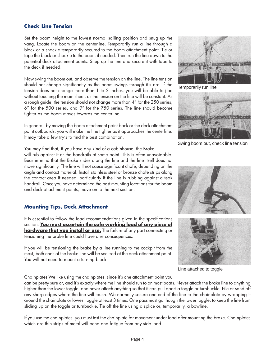#### **Check Line Tension**

Set the boom height to the lowest normal sailing position and snug up the vang. Locate the boom on the centerline. Temporarily run a line through a block or a shackle temporarily secured to the boom attachment point. Tie or tape the block or shackle to the boom if needed. Then run the line down to the potential deck attachment points. Snug up the line and secure it with tape to the deck if needed.

Now swing the boom out, and observe the tension on the line. The line tension should not change significantly as the boom swings through it's arc. If the tension does not change more than 1 to 2 inches, you will be able to jibe without touching the main sheet, as the tension on the line will be constant. As a rough guide, the tension should not change more than 4" for the 250 series, 6" for the 500 series, and 9" for the 750 series. The line should become tighter as the boom moves towards the centerline.

In general, by moving the boom attachment point back or the deck attachment point outboards, you will make the line tighter as it approaches the centerline. It may take a few try's to find the best combination.

You may find that, if you have any kind of a cabinhouse, the Brake

will rub against it or the handrails at some point. This is often unavoidable. Bear in mind that the Brake slides along the line and the line itself does not move significantly. The line will not cause significant chafe, depending on the angle and contact material. Install stainless steel or bronze chafe strips along the contact area if needed, particularly if the line is rubbing against a teak handrail. Once you have determined the best mounting locations for the boom and deck attachment points, move on to the next section.

#### **Mounting Tips, Deck Attachment**

It is essential to follow the load recommendations given in the specifications section. **You must ascertain the safe working load of any piece of hardware that you install or use.** The failure of any part connecting or tensioning the brake line could have dire consequences.

If you will be tensioning the brake by a line running to the cockpit from the mast, both ends of the brake line will be secured at the deck attachment point. You will not need to mount a turning block.

Chainplates We like using the chainplates, since it's one attachment point you

can be pretty sure of, and it's exactly where the line should run to on most boats. Never attach the brake line to anything higher than the lower toggle, and never attach anything so that it can pull apart a toggle or turnbuckle. File or sand off any sharp edges where the line will touch. We normally secure one end of the line to the chainplate by wrapping it around the chainplate or lowest toggle at least 3 times. One pass must go though the lower toggle, to keep the line from sliding up on the toggle or turnbuckle. Tie off the line using a splice or, temporarily, a bowline.

If you use the chainplates, you must test the chainplate for movement under load after mounting the brake. Chainplates which are thin strips of metal will bend and fatigue from any side load.



Temporarily run line



Swing boom out, check line tension





Line attached to toggle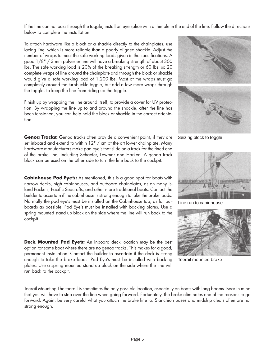If the line can not pass through the toggle, install an eye splice with a thimble in the end of the line. Follow the directions below to complete the installation.

To attach hardware like a block or a shackle directly to the chainplates, use lacing line, which is more reliable than a poorly aligned shackle. Adjust the number of wraps to meet the safe working loads given in the specifications. A good 1/8" / 3 mm polyester line will have a breaking strength of about 300 lbs. The safe working load is 20% of the breaking strength or 60 lbs, so 20 complete wraps of line around the chainplate and through the block or shackle would give a safe working load of 1,200 lbs. Most of the wraps must go completely around the turnbuckle toggle, but add a few more wraps through the toggle, to keep the line from riding up the toggle.

Finish up by wrapping the line around itself, to provide a cover for UV protection. By wrapping the line up to and around the shackle, after the line has been tensioned, you can help hold the block or shackle in the correct orientation.

**Genoa Tracks:** Genoa tracks often provide a convenient point, if they are set inboard and extend to within 12" / cm of the aft lower chainplate. Many hardware manufacturers make pad eye's that slide on a track for the fixed end of the brake line, including Schaefer, Lewmar and Harken. A genoa track block can be used on the other side to turn the line back to the cockpit.

**Cabinhouse Pad Eye's:** As mentioned, this is a good spot for boats with narrow decks, high cabinhouses, and outboard chainplates, as on many Island Packets, Pacific Seacrafts, and other more traditional boats. Contact the builder to ascertain if the cabinhouse is strong enough to take the brake loads. Normally the pad eye's must be installed on the Cabinhouse top, as far outboards as possible. Pad Eye's must be installed with backing plates. Use a spring mounted stand up block on the side where the line will run back to the cockpit.

**Deck Mounted Pad Eye's:** An inboard deck location may be the best option for some boat where there are no genoa tracks. This makes for a good, permanent installation. Contact the builder to ascertain if the deck is strong enough to take the brake loads. Pad Eye's must be installed with backing plates. Use a spring mounted stand up block on the side where the line will run back to the cockpit.

Toerail Mounting The toerail is sometimes the only possible location, especially on boats with long booms. Bear in mind that you will have to step over the line when going forward. Fortunately, the brake eliminates one of the reasons to go forward. Again, be very careful what you attach the brake line to. Stanchion bases and midship cleats often are not strong enough.



Seizing block to toggle



Line run to cabinhouse



Toerail mounted brake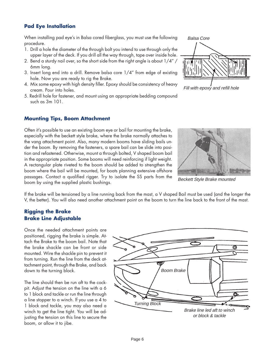#### **Pad Eye Installation**

When installing pad eye's in Balsa cored fiberglass, you must use the following procedure.

- 1. Drill a hole the diameter of the through bolt you intend to use through only the upper layer of the deck. If you drill all the way through, tape over inside hole.
- 2. Bend a sturdy nail over, so the short side from the right angle is about 1/4" / 6mm long.
- 3. Insert long end into a drill. Remove balsa core 1/4" from edge of existing hole. Now you are ready to rig the Brake.
- 4. Mix some epoxy with high density filler. Epoxy should be consistency of heavy cream. Pour into holes.
- 5. Redrill hole for fastener, and mount using an appropriate bedding compound such as 3m 101.

#### **Mounting Tips, Boom Attachment**

Often it's possible to use an existing boom eye or bail for mounting the brake, especially with the beckett style brake, where the brake normally attaches to the vang attachment point. Also, many modern booms have sliding bails under the boom. By removing the fasteners, a spare bail can be slide into position and refastened. Otherwise, mount a through bolted, V shaped boom bail in the appropriate position. Some booms will need reinforcing if light weight. A rectangular plate riveted to the boom should be added to strengthen the boom where the bail will be mounted, for boats planning extensive offshore passages. Contact a qualified rigger. Try to isolate the SS parts from the boom by using the supplied plastic bushings.



Fill with epoxy and refill hole



Beckett Style Brake mounted

If the brake will be tensioned by a line running back from the mast, a V shaped Bail must be used (and the longer the V, the better). You will also need another attachment point on the boom to turn the line back to the front of the mast.

#### **Rigging the Brake Brake Line Adjustable**

Once the needed attachment points are positioned, rigging the brake is simple. Attach the Brake to the boom bail. Note that the brake shackle can be front or side mounted. Wire the shackle pin to prevent it from turning. Run the line from the deck attachment point, through the Brake, and back down to the turning block.

The line should then be run aft to the cockpit. Adjust the tension on the line with a 6 to 1 block and tackle or run the line through a line stopper to a winch. If you use a 4 to 1 block and tackle, you may also need a winch to get the line tight. You will be adjusting the tension on this line to secure the boom, or allow it to jibe.

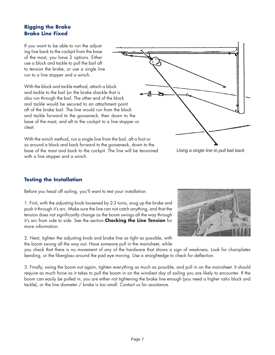#### **Rigging the Brake Brake Line Fixed**

If you want to be able to run the adjusting line back to the cockpit from the base of the mast, you have 2 options. Either use a block and tackle to pull the bail aft to tension the brake, or use a single line run to a line stopper and a winch.

With the block and tackle method, attach a block and tackle to the bail (or the brake shackle that is also run through the bail. The other end of the block and tackle would be secured to an attachment point aft of the brake bail. The line would run from the block and tackle forward to the gooseneck, then down to the base of the mast, and aft to the cockpit to a line stopper or cleat.

With the winch method, run a single line from the bail, aft a foot or so around a block and back forward to the gooseneck, down to the base of the mast and back to the cockpit. The line will be tensioned with a line stopper and a winch.



Using a single line to pull bail back

### **Testing the Installation**

Before you head off sailing, you'll want to test your installation.

1. First, with the adjusting knob loosened by 2-3 turns, snug up the brake and push it through it's arc. Make sure the line can not catch anything, and that the tension does not significantly change as the boom swings all the way through it's arc from side to side. See the section **Checking the Line Tension** for more information.

2. Next, tighten the adjusting knob and brake line as tight as possible, with the boom swung all the way out. Have someone pull in the mainsheet, while



you check that there is no movement of any of the hardware that shows a sign of weakness. Look for chainplates bending, or the fiberglass around the pad eye moving. Use a straightedge to check for deflection.

3. Finally, swing the boom out again, tighten everything as much as possible, and pull in on the mainsheet. It should require as much force as it takes to pull the boom in on the windiest day of sailing you are likely to encounter. If the boom can easily be pulled in, you are either not tightening the brake line enough (you need a higher ratio block and tackle), or the line diameter / brake is too small. Contact us for assistance.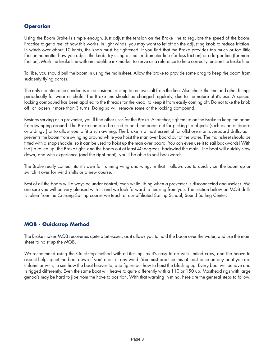### **Operation**

Using the Boom Brake is simple enough. Just adjust the tension on the Brake line to regulate the speed of the boom. Practice to get a feel of how this works. In light winds, you may want to let off on the adjusting knob to reduce friction. In winds over about 10 knots, the knob must be tightened. If you find that the Brake provides too much or too little friction no matter how you adjust the knob, try using a smaller diameter line (for less friction) or a larger line (for more friction). Mark the Brake line with an indelible ink marker to serve as a reference to help correctly tension the Brake line.

To jibe, you should pull the boom in using the mainsheet. Allow the brake to provide some drag to keep the boom from suddenly flying across.

The only maintenance needed is an occasional rinsing to remove salt from the line. Also check the line and other fittings periodically for wear or chafe. The Brake line should be changed regularly, due to the nature of it's use. A special locking compound has been applied to the threads for the knob, to keep it from easily coming off. Do not take the knob off, or loosen it more than 3 turns. Doing so will remove some of the locking compound.

Besides serving as a preventer, you'll find other uses for the Brake. At anchor, tighten up on the Brake to keep the boom from swinging around. The Brake can also be used to hold the boom out for picking up objects (such as an outboard or a dingy ) or to allow you to fit a sun awning. The brake is almost essential for offshore man overboard drills, as it prevents the boom from swinging around while you hoist the man over board out of the water. The mainsheet should be fitted with a snap shackle, so it can be used to hoist up the man over board. You can even use it to sail backwards! With the jib rolled up, the Brake tight, and the boom out at least 40 degrees, backwind the main. The boat will quickly slow down, and with experience (and the right boat), you'll be able to sail backwards.

The Brake really comes into it's own for running wing and wing, in that it allows you to quickly set the boom up or switch it over for wind shifts or a new course.

Best of all the boom will always be under control, even while jibing when a preventer is disconnected and useless. We are sure you will be very pleased with it, and we look forward to hearing from you. The section below on MOB drills is taken from the Cruising Sailing course we teach at our affiliated Sailing School, Sound Sailing Center.

#### **MOB - Quickstop Method**

The Brake makes MOB recoveries quite a bit easier, as it allows you to hold the boom over the water, and use the main sheet to hoist up the MOB.

We recommend using the Quickstop method with a Lifesling, as it's easy to do with limited crew, and the heave to aspect helps quiet the boat down if you're out in any wind. You must practice this at least once on any boat you are unfamiliar with, to see how the boat heaves to, and figure out how to hoist the Lifesling up. Every boat will behave and is rigged differently. Even the same boat will heave to quite differently with a 110 or 150 up. Masthead rigs with large genoa's may be hard to jibe from the hove to position. With that warning in mind, here are the general steps to follow.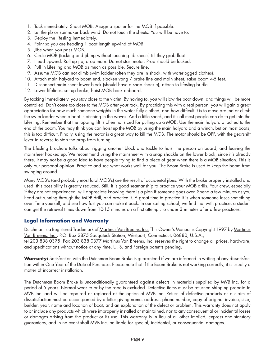- 1. Tack immediately. Shout MOB. Assign a spotter for the MOB if possible.
- 2. Let the jib or spinnaker back wind. Do not touch the sheets. You will be hove to.
- 3. Deploy the lifesling immediately.
- 4. Point so you are heading 1 boat length upwind of MOB.
- 5. Jibe when you pass MOB.
- 6. Circle MOB (tacking and jibing without touching jib sheets) till they grab float.
- 7. Head upwind. Roll up jib, drop main. Do not start motor. Prop should be locked.
- 8. Pull in Lifesling and MOB as much as possible. Secure line.
- 9. Assume MOB can not climb swim ladder (often they are in shock, with waterlogged clothes).
- 10. Attach main halyard to boom end, slacken vang / brake line and main sheet, raise boom 4-5 feet.
- 11. Disconnect main sheet lower block (should have a snap shackle), attach to lifesling bridle.
- 12. Lower lifelines, set up brake, hoist MOB back onboard.

By tacking immediately, you stay close to the victim. By hoving to, you will slow the boat down, and things will be more controlled. Don't come too close to the MOB after your tack. By practicing this with a real person, you will gain a great appreciation for how much someone weights in the water fully clothed, and how difficult it is to move around or climb the swim ladder when a boat is pitching in the waves. Add a little shock, and it's all most people can do to get into the Lifesling. Remember that the topping lift is often not sized for pulling up a MOB. Use the main halyard attached to the end of the boom. You may think you can hoist up the MOB by using the main halyard and a winch, but on most boats, this is too difficult. Finally, using the motor is a great way to kill the MOB. The motor should be OFF, with the gearshift lever in reverse to stop the prop from turning.

The Lifesling brochure talks about rigging another block and tackle to hoist the person on board, and leaving the mainsheet hooked up. We recommend using the mainsheet with a snap shackle on the lower block, since it's already there. It may not be a good idea to have people trying to find a piece of gear when there is a MOB situation. This is only our personal opinion. Practice and see what works well for you. The Boom Brake is used to keep the boom from swinging around.

Many MOB's (and probably most fatal MOB's) are the result of accidental jibes. With the brake properly installed and used, this possibility is greatly reduced. Still, it is good seamanship to practice your MOB drills. Your crew, especially if they are not experienced, will appreciate knowing there is a plan if someone goes over. Spend a few minutes as you head out running through the MOB drill, and practice it. A great time to practice it is when someone loses something over. Time yourself, and see how fast you can make it back. In our sailing school, we find that with practice, a student can get the retrieval times down from 10-15 minutes on a first attempt, to under 3 minutes after a few practices.

#### **Legal Information and Warranty**

Dutchman is a Registered Trademark of <u>Martinus Van Breems, Inc.</u> This Owner's Manual is Copyright 1997 by <u>Martinus</u> Van Breems, Inc., P.O. Box 2875 Saugatuck Station, Westport, Connecticut, 06880, U.S.A., tel 203 838 0375. Fax 203 838 0377 Martinus Van Breems, Inc. reserves the right to change all prices, hardware, and specifications without notice at any time. U. S. and Foreign patents pending.

**Warranty:** Satisfaction with the Dutchman Boom Brake is guaranteed if we are informed in writing of any dissatisfaction within One Year of the Date of Purchase. Please note that if the Boom Brake is not working correctly, it is usually a matter of incorrect installation.

The Dutchman Boom Brake is unconditionally guaranteed against defects in materials supplied by MVB Inc. for a period of 5 years. Normal wear to or by the rope is excluded. Defective items must be returned shipping prepaid to MVB Inc. and will be repaired or replaced at the option of MVB Inc. Return of defective products or a claim of dissatisfaction must be accompanied by a letter giving name, address, phone number, copy of original invoice, size, builder, year, name and location of boat, and an explanation of the defect or problem. This warranty does not apply to or include any products which were improperly installed or maintained, nor to any consequential or incidental losses or damages arising from the product or its use. This warranty is in lieu of all other implied, express and statutory guarantees, and in no event shall MVB Inc. be liable for special, incidental, or consequential damages.